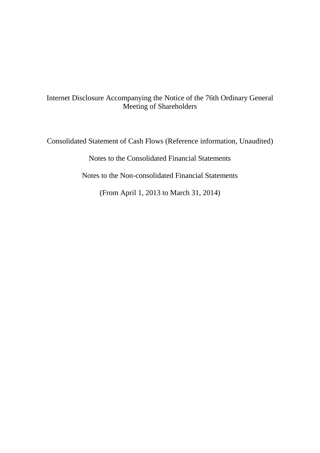# Internet Disclosure Accompanying the Notice of the 76th Ordinary General Meeting of Shareholders

Consolidated Statement of Cash Flows (Reference information, Unaudited)

Notes to the Consolidated Financial Statements

Notes to the Non-consolidated Financial Statements

(From April 1, 2013 to March 31, 2014)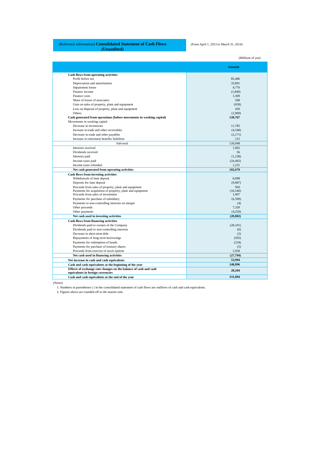## (Reference information) **Consolidated Statement of Cash Flows (Unaudited)**

(From April 1, 2013 to March 31, 2014)

(Millions of yen) **Amount Cash flows from operating activities** Profit before tax 85,486<br>
Depreciation and amortization and amortization and amortization and amortization and amortization and amortization and amortization and amortization and amortization and amortization and amortizat Depreciation and amortization 33,891 and 33,891 and 33,891 and 33,891 and 33,891 and 35,891 and 35,891 and 35,891 and 35,891 and 35,891 and 35,891 and 35,891 and 35,891 and 35,891 and 35,891 and 35,891 and 35,891 and 35,89 Impairment losses 4,770<br>
Finance income (1,849) Finance income (1,849) (1,849) Finance costs and the costs of the costs of the costs of the costs of the costs of the costs of the costs of the costs of the costs of the costs of the costs of the costs of the costs of the costs of the costs of the costs Share of losses of associates 268<br>
Gain on sales of property, plant and equipment (658) Gain on sales of property, plant and equipment (658)<br>
Loss on disposal of property, plant and equipment (450)<br>
450 Loss on disposal of property, plant and equipment (450)<br>Others (2,900) Others (2,900) **Cash generated from operations (before movements in working capital) 120,767** Movements in working capital Decrease in inventories 11,785<br>Increase in trade and other receivables (4,548) Increase in trade and other receivables (4,548) (4,548) (4,548) (4,548) Decrease in trade and other payables (2,171) Increase in retirement benefits liabilities (2,171) Increase in retirement benefits liabilities 215<br>
2015<br>
2016 - 2017<br>
2016 - 2018 - 2019<br>
2016 - 2019<br>
2016 - 2019<br>
2019 - 2019<br>
2019 - 2019 - 2019<br>
2019 - 2019 - 2019 - 2019 - 2019 - 2019 - 2019 - 2019 - 2019 - 2019 - 2019 Sub-total 126,048 Interests received 1,065 Dividends received 56 Interests paid (1,238) (1,238) (1,239) (1,239) (1,239) (1,239) (1,239) (1,239) (1,239) (1,239) (1,239) (1,239) Income taxes paid (24,492) (24,492) (24,492) Income taxes refunded 1,231<br>Net cash generated from operating activities 102.670<br>102.670 Net cash generated from operating activities **Cash flows from investing activities**<br> **Cash flows from investing activities**<br> **CASH FROM INTERNATION CONTRACT CONTRACT CONTRACT CONTRACT CONTRACT CONTRACT CONTRACT CONTRACT CONTRACT CONTRACT CONTRACT CONTRACT CONTRACT CO** Withdrawals of time deposit 6,098 Deposits for time deposit 6,098 Deposits for time deposit Deposits for time deposit (9,087) Proceeds from sales of property, plant and equipment (9,087) Proceeds from sales of property, plant and equipment (9,087) 950 Proceeds from sales of property, plant and equipment 950<br>
Payments for acquisition of property, plant and equipment (16.546) Payments for acquisition of property, plant and equipment (16,546)<br>Proceeds from sales of investment (1,007) and the state of investment (1,007) and the state of investment (1,007 Payments for purchase of subsidiary (6,390) Payments to non-controlling interests on merger (4) (4) Other proceeds (5) 239 Other proceeds 7,339<br>Other payments (4,250) Other payments (4,250)<br>
Net cash used in investing activities (20,882) **Net cash used in investing activities (20,882) Cash flows from financing activities** Dividends paid to owners of the Company (28,101) (28,101) Dividends paid to non-controlling interests (6) (6) (2) (2) Decrease in short-term debt (2) Repayments of long-term borrowings Payments for redemption of bonds (234) (234)<br>
Payments for purchase of treasury shares (5) Proceeds from exercise of stock options 1,058<br>
Net cash used in financing activities (27,794) Net cash used in financing activities **Net increase in cash and cash equivalents 53,994 Cash and cash equivalents at the beginning of the year 248,896 Effects of exchange rate changes on the balance of cash and cash**  Effects of exchange rate changes on the balance of cash and cash **28,204 and 2012 12:20 m**<br>
equivalents in foreign currencies<br>
Cash and cash equivalents at the end of the vear **28,204 Cash and cash equivalents at the end of the year 331,094**

(Notes)

1. Numbers in parentheses ( ) in the consolidated statement of cash flows are outflows of cash and cash equivalents.

2. Figures above are rounded off to the nearest unit.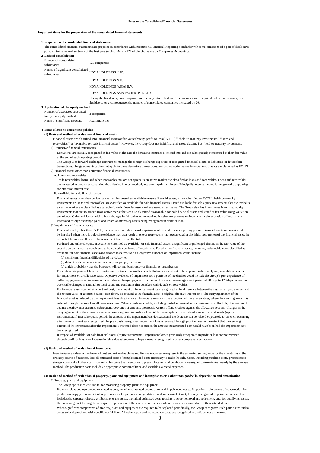#### **Important items for the preparation of the consolidated financial statements**

## **1. Preparation of consolidated financial statements**

The consolidated financial statements are prepared in accordance with International Financial Reporting Standards with some omissions of a part of disclosures pursuant to the second sentence of the first paragraph of Article 120 of the Ordinance on Companies Accounting.

| 2. Basis of consolidation                         |                                                                                                                    |
|---------------------------------------------------|--------------------------------------------------------------------------------------------------------------------|
| Number of consolidated<br>subsidiaries            | 121 companies                                                                                                      |
| Names of significant consolidated<br>subsidiaries | HOYA HOLDINGS, INC.                                                                                                |
|                                                   | HOYA HOLDINGS N.V.                                                                                                 |
|                                                   | HOYA HOLDINGS (ASIA) B.V.                                                                                          |
|                                                   | HOYA HOLDINGS ASIA PACIFIC PTE LTD.                                                                                |
|                                                   | During the fiscal year, two companies were newly established and 19 companies were acquired, while one company was |
|                                                   | liquidated. As a consequence, the number of consolidated companies increased by 20.                                |
| 3. Application of the equity method               |                                                                                                                    |
| Number of associates accounted                    |                                                                                                                    |
| for by the equity method                          | 2 companies                                                                                                        |
| Name of significant associate                     | AvanStrate Inc.                                                                                                    |

## **4. Items related to accounting policies**

## **(1) Basis and method of evaluation of financial assets**

Financial assets are classified into "financial assets at fair value through profit or loss (FVTPL)," "held-to-maturity investments," "loans and receivables," or "available-for-sale financial assets." However, the Group does not hold financial assets classified as "held-to-maturity investments." 1) Derivative financial instruments

Derivatives are initially recognized at fair value at the date the derivative contract is entered into and are subsequently remeasured at their fair value at the end of each reporting period.

The Group uses forward exchange contracts to manage the foreign exchange exposure of recognized financial assets or liabilities, or future firm transactions. Hedge accounting does not apply to these derivative transactions. Accordingly, derivative financial instruments are classified as FVTPL. 2) Financial assets other than derivative financial instruments

A. Loans and receivables

Trade receivables, loans, and other receivables that are not quoted in an active market are classified as loans and receivables. Loans and receivables are measured at amortized cost using the effective interest method, less any impairment losses. Principally interest income is recognized by applying the effective interest rate.

B. Available-for-sale financial assets

Financial assets other than derivatives, either designated as available-for-sale financial assets, or not classified as FVTPL, held-to-maturity investments or loans and receivables, are classified as available-for-sale financial assets. Listed available-for-sale equity investments that are traded in an active market are classified as available-for-sale financial assets and are stated at fair value. The Group also has investments in unlisted equity investments that are not traded in an active market but are also classified as available-for-sale financial assets and stated at fair value using valuation techniques. Gains and losses arising from changes in fair value are recognized in other comprehensive income with the exception of impairment losses and foreign exchange gains and losses on monetary assets being recognized in profit or loss.

3) Impairment of financial assets

Financial assets, other than FVTPL, are assessed for indicators of impairment at the end of each reporting period. Financial assets are considered to be impaired when there is objective evidence that, as a result of one or more events that occurred after the initial recognition of the financial asset, the estimated future cash flows of the investment have been affected.

For listed and unlisted equity investments classified as available-for-sale financial assets, a significant or prolonged decline in the fair value of the security below its cost is considered to be objective evidence of impairment. For all other financial assets, including redeemable notes classified as available-for-sale financial assets and finance lease receivables, objective evidence of impairment could include:

(a) significant financial difficulties of the debtor; or

(b) default or delinquency in interest or principal payments; or

(c) a high probability that the borrower will go into bankruptcy or financial re-organization.

For certain categories of financial assets, such as trade receivables, assets that are assessed not to be impaired individually are, in addition, assessed for impairment on a collective basis. Objective evidence of impairment for a portfolio of receivables could include the Group's past experience of collecting payments, an increase in the number of delayed payments in the portfolio past the average credit period of 90 days to 120 days, as well as observable changes in national or local economic conditions that correlate with default on receivables.

For financial assets carried at amortized cost, the amount of the impairment loss recognized is the difference between the asset's carrying amount and the present value of estimated future cash flows, discounted at the financial asset's original effective interest rate. The carrying amount of the financial asset is reduced by the impairment loss directly for all financial assets with the exception of trade receivables, where the carrying amount is reduced through the use of an allowance account. When a trade receivable, including past-due receivable, is considered uncollectible, it is written off against the allowance account. Subsequent recoveries of amounts previously written off are credited against the allowance account. Changes in the carrying amount of the allowance account are recognized in profit or loss. With the exception of available-for-sale financial assets (equity instruments), if, in a subsequent period, the amount of the impairment loss decreases and the decrease can be related objectively to an event occurring after the impairment was recognized, the previously recognized impairment loss is reversed through profit or loss to the extent that the carrying amount of the investment after the impairment is reversed does not exceed the amount the amortized cost would have been had the impairment not been recognized

In respect of available-for-sale financial assets (equity instruments), impairment losses previously recognized in profit or loss are not reversed through profit or loss. Any increase in fair value subsequent to impairment is recognized in other comprehensive income.

#### **(2) Basis and method of evaluation of inventories**

Inventories are valued at the lower of cost and net realizable value. Net realizable value represents the estimated selling price for the inventories in the ordinary course of business, less all estimated costs of completion and costs necessary to make the sale. Costs, including purchase costs, process costs, storage costs and all other costs incurred in bringing the inventories to present location and condition, are assigned to inventories mainly by the average method. The production costs include an appropriate portion of fixed and variable overhead expenses.

## **(3) Basis and method of evaluation of property, plant and equipment and intangible assets (other than goodwill), depreciation and amortization**

1) Property, plant and equipment

The Group applies the cost model for measuring property, plant and equipment.

Property, plant and equipment are stated at cost, net of accumulated depreciation and impairment losses. Properties in the course of construction for production, supply or administrative purposes, or for purposes not yet determined, are carried at cost, less any recognized impairment losses. Cost includes the expenses directly attributable to the assets, the initial estimated costs relating to scrap, removal and retirement, and, for qualifying assets, the borrowing cost for long-term project. Depreciation of these assets commences when the assets are available for their intended use. When significant components of property, plant and equipment are required to be replaced periodically, the Group recognizes such parts as individual assets to be depreciated with specific useful lives. All other repair and maintenance costs are recognized in profit or loss as incurred.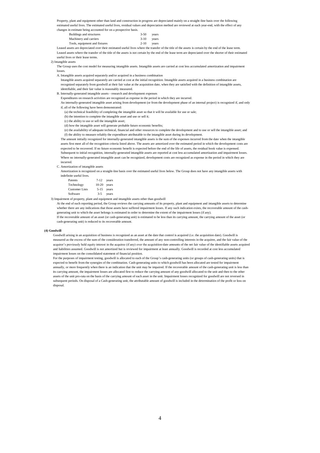Property, plant and equipment other than land and construction in progress are depreciated mainly on a straight-line basis over the following estimated useful lives. The estimated useful lives, residual values and depreciation method are reviewed at each year-end, with the effect of any

changes in estimate being accounted for on a prospective basis.

| Buildings and structures      | $3-50$       | vears |
|-------------------------------|--------------|-------|
| Machinery and carriers        | $3-10$ years |       |
| Tools, equipment and fixtures | $2 - 10$     | vears |

Leased assets are depreciated over their estimated useful lives where the transfer of the title of the assets is certain by the end of the lease term. Leased assets where the transfer of the title of the assets is not certain by the end of the lease term are depreciated over the shorter of their estimated useful lives or their lease terms.

2) Intangible assets

The Group uses the cost model for measuring intangible assets. Intangible assets are carried at cost less accumulated amortization and impairment losses.

A. Intangible assets acquired separately and/or acquired in a business combination

Intangible assets acquired separately are carried at cost at the initial recognition. Intangible assets acquired in a business combination are recognized separately from goodwill at their fair value at the acquisition date, when they are satisfied with the definition of intangible assets,

identifiable, and their fair value is reasonably measured. B. Internally-generated intangible assets - research and development expenses

Expenditures on research activities are recognized as expense in the period in which they are incurred.

An internally-generated intangible asset arising from development (or from the development phase of an internal project) is recognized if, and only

if, all of the following have been demonstrated:

(a) the technical feasibility of completing the intangible asset so that it will be available for use or sale;

(b) the intention to complete the intangible asset and use or sell it;

(c) the ability to use or sell the intangible asset;

(d) how the intangible asset will generate probable future economic benefits;

(e) the availability of adequate technical, financial and other resources to complete the development and to use or sell the intangible asset; and (f) the ability to measure reliably the expenditure attributable to the intangible asset during its development.

The amount initially recognized for internally-generated intangible assets is the sum of the expenses incurred from the date when the intangible assets first meet all of the recognition criteria listed above. The assets are amortized over the estimated period in which the development costs are expected to be recovered. If no future economic benefit is expected before the end of the life of assets, the residual book value is expensed. Subsequent to initial recognition, internally-generated intangible assets are reported at cost less accumulated amortization and impairment losses. Where no internally-generated intangible asset can be recognized, development costs are recognized as expense in the period in which they are incurred.

C. Amortization of intangible assets

Amortization is recognized on a straight-line basis over the estimated useful lives below. The Group does not have any intangible assets with indefinite useful lives.

| Patents               | $7-12$ years  |            |
|-----------------------|---------------|------------|
| Technology            | $10-20$ years |            |
| <b>Customer Lists</b> |               | 5-15 years |
| Software              | $3 - 5$       | years      |

3) Impairment of property, plant and equipment and intangible assets other than goodwill

At the end of each reporting period, the Group reviews the carrying amounts of its property, plant and equipment and intangible assets to determine whether there are any indications that those assets have suffered impairment losses. If any such indication exists, the recoverable amount of the cashgenerating unit to which the asset belongs is estimated in order to determine the extent of the impairment losses (if any).

If the recoverable amount of an asset (or cash-generating unit) is estimated to be less than its carrying amount, the carrying amount of the asset (or cash-generating unit) is reduced to its recoverable amount.

## **(4) Goodwill**

Goodwill arising in an acquisition of business is recognized as an asset at the date that control is acquired (i.e. the acquisition date). Goodwill is measured as the excess of the sum of the consideration transferred, the amount of any non-controlling interests in the acquiree, and the fair value of the acquirer's previously held equity interest in the acquiree (if any) over the acquisition-date amounts of the net fair value of the identifiable assets acquired and liabilities assumed. Goodwill is not amortized but is reviewed for impairment at least annually. Goodwill is recorded at cost less accumulated impairment losses on the consolidated statement of financial position.

For the purposes of impairment testing, goodwill is allocated to each of the Group's cash-generating units (or groups of cash-generating units) that is expected to benefit from the synergies of the combination. Cash-generating units to which goodwill has been allocated are tested for impairment annually, or more frequently when there is an indication that the unit may be impaired. If the recoverable amount of the cash-generating unit is less than its carrying amount, the impairment losses are allocated first to reduce the carrying amount of any goodwill allocated to the unit and then to the other assets of the unit pro-rata on the basis of the carrying amount of each asset in the unit. Impairment losses recognized for goodwill are not reversed in subsequent periods. On disposal of a Cash-generating unit, the attributable amount of goodwill is included in the determination of the profit or loss on disposal.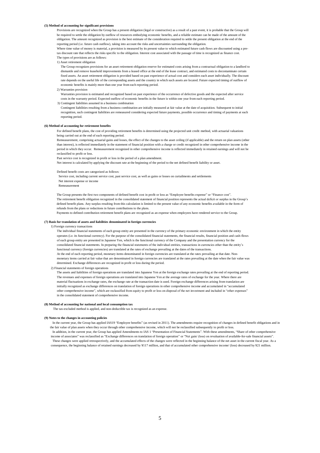## **(5) Method of accounting for significant provisions**

Provisions are recognized when the Group has a present obligation (legal or constructive) as a result of a past event, it is probable that the Group will be required to settle the obligation by outflow of resources embodying economic benefits, and a reliable estimate can be made of the amount of the obligation. The amount recognized as provision is the best estimate of the consideration required to settle the present obligation at the end of the reporting period (i.e. future cash outflow), taking into account the risks and uncertainties surrounding the obligation.

Where time value of money is material, a provision is measured by its present value to which estimated future cash flows are discounted using a pretax discount rate that reflects the risks specific to the obligation. Interest cost associated with the passage of time is recognized as finance cost. The types of provisions are as follows:

1) Asset retirement obligation

The Group recognizes provisions for an asset retirement obligation reserve for estimated costs arising from a contractual obligation to a landlord to dismantle and remove leasehold improvements from a leased office at the end of the lease contract, and estimated costs to decontaminate certain fixed assets. An asset retirement obligation is provided based on past experience of actual cost and considers each asset individually. The discount rate depends on the useful life of the corresponding assets and the country in which such assets are located. Future expected timing of outflow of economic benefits is mainly more than one year from each reporting period.

2) Warranties provision

Warranties provision is estimated and recognized based on past experience of the occurrence of defective goods and the expected after service costs in the warranty period. Expected outflow of economic benefits in the future is within one year from each reporting period.

3) Contingent liabilities assumed in a business combination

Contingent liabilities resulting from a business combination are initially measured at fair value at the date of acquisition. Subsequent to initial recognition, such contingent liabilities are remeasured considering expected future payments, possible occurrence and timing of payments at each reporting period.

#### **(6) Method of accounting for retirement benefits**

For defined benefit plans, the cost of providing retirement benefits is determined using the projected unit credit method, with actuarial valuations being carried out at the end of each reporting period.

Remeasurement, comprising actuarial gains and losses, the effect of the changes to the asset ceiling (if applicable) and the return on plan assets (other than interest), is reflected immediately in the statement of financial position with a charge or credit recognized in other comprehensive income in the period in which they occur. Remeasurement recognized in other comprehensive income is reflected immediately in retained earnings and will not be reclassified to profit or loss.

Past service cost is recognized in profit or loss in the period of a plan amendment.

Net interest is calculated by applying the discount rate at the beginning of the period to the net defined benefit liability or asset.

Defined benefit costs are categorized as follows:

 Service cost, including current service cost, past service cost, as well as gains or losses on curtailments and settlements Net interest expense or income

Remeasurement

The Group presents the first two components of defined benefit cost in profit or loss as "Employee benefits expense" or "Finance cost". The retirement benefit obligation recognized in the consolidated statement of financial position represents the actual deficit or surplus in the Group's defined benefit plans. Any surplus resulting from this calculation is limited to the present value of any economic benefits available in the form of refunds from the plans or reductions in future contributions to the plans.

Payments to defined contribution retirement benefit plans are recognized as an expense when employees have rendered service to the Group.

## **(7) Basis for translation of assets and liabilities denominated in foreign currencies**

#### 1) Foreign currency transactions

The individual financial statements of each group entity are presented in the currency of the primary economic environment in which the entity operates (i.e. its functional currency). For the purpose of the consolidated financial statements, the financial results, financial position and cash-flows of each group entity are presented in Japanese Yen, which is the functional currency of the Company and the presentation currency for the consolidated financial statements. In preparing the financial statements of the individual entities, transactions in currencies other than the entity's functional currency (foreign currencies) are translated at the rates of exchange prevailing at the dates of the transactions. At the end of each reporting period, monetary items denominated in foreign currencies are translated at the rates prevailing at that date. Nonmonetary items carried at fair value that are denominated in foreign currencies are translated at the rates prevailing at the date when the fair value was determined. Exchange differences are recognized in profit or loss during the period.

2) Financial statements of foreign operations

The assets and liabilities of foreign operations are translated into Japanese Yen at the foreign exchange rates prevailing at the end of reporting period. The revenues and expenses of foreign operations are translated into Japanese Yen at the average rates of exchange for the year. Where there are material fluctuations in exchange rates, the exchange rate at the transaction date is used. Foreign exchange differences arising from translation are initially recognized as exchange differences on translation of foreign operations in other comprehensive income and accumulated in "accumulated other comprehensive income", which are reclassified from equity to profit or loss on disposal of the net investment and included in "other expenses" in the consolidated statement of comprehensive income.

#### **(8) Method of accounting for national and local consumption tax**

The tax-excluded method is applied, and non-deductible tax is recognized as an expense.

## **(9) Notes to the changes in accounting policies**

 In the current year, the Group has applied IAS19 "Employee benefits" (as revised in 2011). The amendments require recognition of changes in defined benefit obligations and in the fair value of plan assets when they occur through other comprehensive income, which will not be reclassified subsequently to profit or loss.

 In addition, in the current year, the Group has applied Amendments to IAS 1 "Presentation of Financial Statements". With these amendments, "Share of other comprehensive income of associates" was reclassified as "Exchange differences on translation of foreign operation" or "Net gain/ (loss) on revaluation of available-for-sale financial assets". These changes were applied retrospectively, and the accumulated effects of the changes were reflected in the beginning balance of the net asset in the current fiscal year. As a consequence, the beginning balance of retained earnings decreased by ¥117 million, and that of accumulated other comprehensive income/ (loss) decreased by ¥21 million.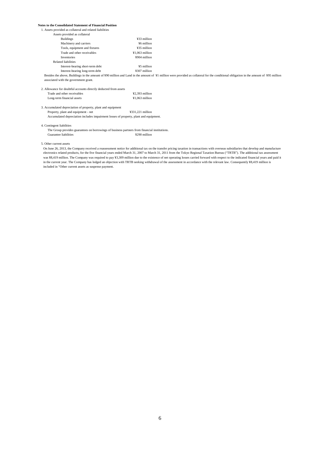# **Notes to the Consolidated Statement of Financial Position**

| 1. Assets provided as collateral and related liabilities                                      |                  |                                                                                                                                                                                        |
|-----------------------------------------------------------------------------------------------|------------------|----------------------------------------------------------------------------------------------------------------------------------------------------------------------------------------|
| Assets provided as collateral                                                                 |                  |                                                                                                                                                                                        |
| <b>Buildings</b>                                                                              | ¥33 million      |                                                                                                                                                                                        |
| Machinery and carriers                                                                        | ¥6 million       |                                                                                                                                                                                        |
| Tools, equipment and fixtures                                                                 | ¥35 million      |                                                                                                                                                                                        |
| Trade and other receivables                                                                   | $¥1.063$ million |                                                                                                                                                                                        |
| <b>Inventories</b>                                                                            | ¥904 million     |                                                                                                                                                                                        |
| Related liabilities                                                                           |                  |                                                                                                                                                                                        |
| Interest-bearing short-term debt                                                              | ¥5 million       |                                                                                                                                                                                        |
| Interest-bearing long-term debt                                                               | ¥307 million     |                                                                                                                                                                                        |
|                                                                                               |                  | Besides the above, Buildings in the amount of ¥90 million and Land in the amount of ¥1 million were provided as collateral for the conditional obligation in the amount of ¥95 million |
| associated with the government grant.                                                         |                  |                                                                                                                                                                                        |
| 2. Allowance for doubtful accounts directly deducted from assets                              |                  |                                                                                                                                                                                        |
| Trade and other receivables                                                                   | ¥2,393 million   |                                                                                                                                                                                        |
| Long-term financial assets                                                                    | ¥1,063 million   |                                                                                                                                                                                        |
| 3. Accumulated depreciation of property, plant and equipment                                  |                  |                                                                                                                                                                                        |
| Property, plant and equipment - net                                                           | ¥331.221 million |                                                                                                                                                                                        |
| Accumulated depreciation includes impairment losses of property, plant and equipment.         |                  |                                                                                                                                                                                        |
| 4. Contingent liabilities                                                                     |                  |                                                                                                                                                                                        |
| The Group provides guarantees on borrowings of business partners from financial institutions. |                  |                                                                                                                                                                                        |
| Guarantee liabilities                                                                         | ¥290 million     |                                                                                                                                                                                        |
| 5. Other current assets                                                                       |                  |                                                                                                                                                                                        |
|                                                                                               |                  |                                                                                                                                                                                        |

On June 26, 2013, the Company received a reassessment notice for additional tax on the transfer pricing taxation in transactions with overseas subsidiaries that develop and manufacture electronics related products, for the five financial years ended March 31, 2007 to March 31, 2011 from the Tokyo Regional Taxation Bureau ("TRTB"). The additional tax assessment was ¥8,419 million. The Company was required to pay ¥3,309 million due to the existence of net operating losses carried forward with respect to the indicated financial years and paid it in the current year. The Company has lodged an objection with TRTB seeking withdrawal of the assessment in accordance with the relevant law. Consequently ¥8,419 million is included in "Other current assets as suspense payment.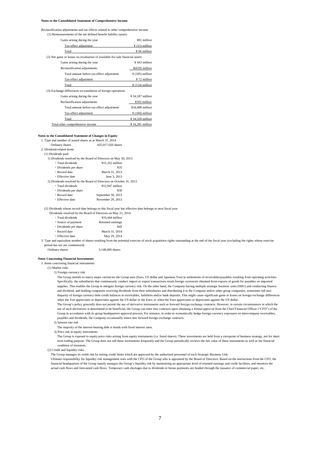## **Notes to the Consolidated Statement of Comprehensive Income**

Reclassification adjustments and tax effects related to other comprehensive income (1) Remeasurements of the net defined benefit liability (asset)

| Gains arising during the year                                                 | ¥81 million                  |
|-------------------------------------------------------------------------------|------------------------------|
| Tax-effect adjustment                                                         | $\frac{1}{2}$ (15) million   |
| Total                                                                         | ¥ 66 million                 |
| (2) Net gains or losses on revaluation of available-for-sale financial assets |                              |
| Gains arising during the year                                                 | $¥$ 443 million              |
| Reclassification adjustments                                                  | $\frac{1}{2}(629)$ million   |
| Total amount before tax-effect adjustment                                     | $\frac{1}{2}$ (185) million  |
| Tax-effect adjustment                                                         | ¥ 72 million                 |
| Total                                                                         | $\frac{1}{2}$ (114) million  |
| (3) Exchange differences on translation of foreign operations                 |                              |
| Gains arising during the year                                                 | ¥ 34,187 million             |
| Reclassification adjustments                                                  | ¥302 million                 |
| Total amount before tax-effect adjustment                                     | ¥34,488 million              |
| Tax-effect adjustment                                                         | $\frac{4}{3}$ (160) million  |
| Total                                                                         | ¥ 34,328 million             |
| Total other comprehensive income                                              | $\frac{1}{2}$ 34,281 million |

## **Notes to the Consolidated Statement of Changes in Equity**

| 1. Type and number of issued shares as at March 31, 2014 |                                                                     |  |
|----------------------------------------------------------|---------------------------------------------------------------------|--|
| Ordinary shares                                          | 435,017,020 shares                                                  |  |
| 2. Dividend-related items                                |                                                                     |  |
| (1) Dividends paid                                       |                                                                     |  |
|                                                          | 1) Dividends resolved by the Board of Directors on May 30, 2013     |  |
| • Total dividends                                        | $¥15.102$ million                                                   |  |
| • Dividends per share                                    | ¥35                                                                 |  |
| • Record date                                            | March 31, 2013                                                      |  |
| • Effective date                                         | June 3, 2013                                                        |  |
|                                                          | 2) Dividends resolved by the Board of Directors on October 31, 2013 |  |
| • Total dividends                                        | ¥12.947 million                                                     |  |
| • Dividends per share                                    | ¥30                                                                 |  |
| • Record date                                            | September 30, 2013                                                  |  |
| • Effective date                                         | November 29, 2013                                                   |  |
|                                                          |                                                                     |  |

(2) Dividends whose record date belongs to this fiscal year but effective date belongs to next fiscal year

| ividends resolved by the Board of Directors on May 21, 2 |                   |
|----------------------------------------------------------|-------------------|
| · Total dividends                                        | ¥19,444 million   |
| • Source of payment                                      | Retained earnings |
| • Dividends per share                                    | ¥45               |
| • Record date                                            | March 31, 2014    |
| • Effective date                                         | May 29, 2014      |
|                                                          |                   |

3. Type and equivalent number of shares resulting from the potential exercise of stock acquisition rights outstanding at the end of the fiscal year (excluding the rights whose exercise period has not yet commenced)

Ordinary shares 3,148,400 shares

## **Notes Concerning Financial Instruments**

1. Items concerning financial instruments

(1) Market risks

1) Foreign currency risk

The Group intends to marry major currencies the Group uses (Euro, US dollar and Japanese Yen) in settlements of receivables/payables resulting from operating activities. Specifically, the subsidiaries that continuously conduct import or export transactions retain foreign currencies obtained from exports of goods for payables on imported supplies. This enables the Group to mitigate foreign currency risk. On the other hand, the Company having multiple strategic business units (SBU) and conducting finance and dividend, and holding companies receiving dividends from their subsidiaries and distributing it to the Company and/or other group companies, sometimes fall into disparity of foreign currency debt-credit balances in receivables, liabilities and/or bank deposits. This might cause significant gains or losses on foreign exchange differences when the Yen appreciates or depreciates against the US dollar or the Euro, or when the Euro appreciates or depreciates against the US dollar.

The Group's policy generally does not permit the use of derivative instruments such as forward foreign exchange contracts. However, in certain circumstances in which the use of such derivatives is determined to be beneficial, the Group can enter into contracts upon obtaining a formal approval from the Chief Financial Officer ("CFO") of the Group in accordance with its group headquarters approval process. For instance, in order to economically hedge foreign currency exposures on intercompany receivables, payables and dividends, the Company occasionally enters into forward foreign exchange contracts.

2) Interest rate risk

The majority of the interest-bearing debt is bonds with fixed interest rates.

3) Price risk in equity instruments

The Group is exposed to equity price risks arising from equity instruments (i.e. listed shares). These investments are held from a viewpoint of business strategy, not for short term trading purpose. The Group does not sell these investments frequently and the Group periodically reviews the fair value of these instruments as well as the financial condition of investees.

(2) Credit and liquidity risks

The Group manages its credit risk by setting credit limits which are approved by the authorized personnel of each Strategic Business Unit.

Ultimate responsibility for liquidity risk management rests with the CFO of the Group who is appointed by the Board of Directors. Based on the instructions from the CFO, the financial headquarters of the Group mainly manages the Group's liquidity risk by maintaining an appropriate level of retained earnings and credit facilities, and monitors the actual cash flows and forecasted cash flows. Temporary cash shortages due to dividends or bonus payments are funded through the issuance of commercial paper, etc.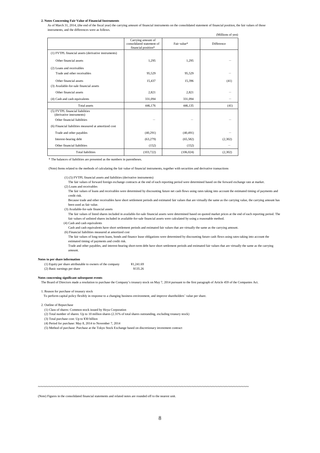## **2. Notes Concerning Fair Value of Financial Instruments**

As of March 31, 2014, (the end of the fiscal year) the carrying amount of financial instruments on the consolidated statement of financial position, the fair values of those instruments, and the differences were as follows.

(Millions of yen)

|                                                             | Carrying amount of<br>consolidated statement of<br>financial position* | Fair value* | <b>Difference</b> |
|-------------------------------------------------------------|------------------------------------------------------------------------|-------------|-------------------|
| (1) FVTPL financial assets (derivative instruments)         |                                                                        |             |                   |
| Other financial assets                                      | 1,295                                                                  | 1,295       |                   |
| (2) Loans and receivables                                   |                                                                        |             |                   |
| Trade and other receivables                                 | 95,529                                                                 | 95,529      |                   |
| Other financial assets                                      | 15,437                                                                 | 15,396      | (41)              |
| (3) Available-for-sale financial assets                     |                                                                        |             |                   |
| Other financial assets                                      | 2,821                                                                  | 2,821       |                   |
| (4) Cash and cash equivalents                               | 331,094                                                                | 331,094     |                   |
| <b>Total assets</b>                                         | 446,176                                                                | 446,135     | (41)              |
| (5) FVTPL financial liabilities<br>(derivative instruments) |                                                                        |             |                   |
| Other financial liabilities                                 |                                                                        |             |                   |
| (6) Financial liabilities measured at amortized cost        |                                                                        |             |                   |
| Trade and other payables                                    | (40,291)                                                               | (40, 491)   |                   |
| Interest-bearing debt                                       | (63,279)                                                               | (65, 582)   | (2,302)           |
| Other financial liabilities                                 | (152)                                                                  | (152)       |                   |
| <b>Total liabilities</b>                                    | (103, 722)                                                             | (106, 024)  | (2,302)           |

\* The balances of liabilities are presented as the numbers in parentheses.

(Note) Items related to the methods of calculating the fair value of financial instruments, together with securities and derivative transactions

(1) (5) FVTPL financial assets and liabilities (derivative instruments)

- The fair values of forward foreign exchange contracts at the end of each reporting period were determined based on the forward exchange rate at market.
- (2) Loans and receivables

The fair values of loans and receivables were determined by discounting future net cash flows using rates taking into account the estimated timing of payments and credit risk.

Because trade and other receivables have short settlement periods and estimated fair values that are virtually the same as the carrying value, the carrying amount has been used as fair value.

(3) Available-for-sale financial assets

The fair values of listed shares included in available-for-sale financial assets were determined based on quoted market prices at the end of each reporting period. The fair values of unlisted shares included in available-for-sale financial assets were calculated by using a reasonable method.

(4) Cash and cash equivalents

Cash and cash equivalents have short settlement periods and estimated fair values that are virtually the same as the carrying amount.

- (6) Financial liabilities measured at amortized cost The fair values of long-term loans, bonds and finance lease obligations were determined by discounting future cash flows using rates taking into account the
- estimated timing of payments and credit risk.

Trade and other payables, and interest-bearing short-term debt have short settlement periods and estimated fair values that are virtually the same as the carrying amount.

## **Notes to per share information**

| (1) Equity per share attributable to owners of the company | ¥1.241.69 |
|------------------------------------------------------------|-----------|
| (2) Basic earnings per share                               | ¥135.26   |

## **Notes concerning significant subsequent events**

The Board of Directors made a resolution to purchase the Company's treasury stock on May 7, 2014 pursuant to the first paragraph of Article 459 of the Companies Act.

1. Reason for purchase of treasury stock

To perform capital policy flexibly in response to a changing business environment, and improve shareholders' value per share.

# 2. Outline of Repurchase

(1) Class of shares: Common stock issued by Hoya Corporation

- (2) Total number of shares: Up to 10 million shares (2.31% of total shares outstanding, excluding treasury stock)
- (3) Total purchase cost: Up to ¥30 billion
- (4) Period for purchase: May 8, 2014 to November 7, 2014
- (5) Method of purchase: Purchase at the Tokyo Stock Exchange based on discretionary investment contract

~~~~~~~~~~~~~~~~~~~~~~~~~~~~~~~~~~~~~~~~~~~~~~~~~~~~~~~~~~~~~~~~~~~~~~~~~~~~~~~~~

(Note) Figures in the consolidated financial statements and related notes are rounded off to the nearest unit.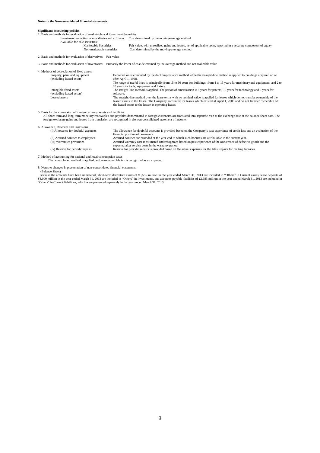# **Significant accounting policies**

1. Basis and methods for evaluation of marketable and investment Securities

Investment securities in subsidiaries and affiliates: Cost determined by the moving-average method Available-for-sale securities:<br>Marketable Securities:

Securities:<br>
Marketable Securities: Fair value, with unrealized gains and losses, net of applicable taxes, reported in a separate component of equity.<br>
Non-marketable securities: Cost determined by the moving-average metho Cost determined by the moving-average method

2. Basis and methods for evaluation of derivatives: Fair value

3. Basis and methods for evaluation of inventories: Primarily the lower of cost determined by the average method and net realizable value

| 4. Methods of depreciation of fixed assets:                |                                                                                                                                                                                                                                                                                                                            |
|------------------------------------------------------------|----------------------------------------------------------------------------------------------------------------------------------------------------------------------------------------------------------------------------------------------------------------------------------------------------------------------------|
| Property, plant and equipment<br>(excluding leased assets) | Depreciation is computed by the declining-balance method while the straight-line method is applied to buildings acquired on or<br>after April 1, 1998.                                                                                                                                                                     |
|                                                            | The range of useful lives is principally from 15 to 50 years for buildings, from 4 to 15 years for machinery and equipment, and 2 to<br>10 years for tools, equipment and fixture.                                                                                                                                         |
| Intangible fixed assets<br>(excluding leased assets)       | The straight-line method is applied. The period of amortization is 8 years for patents, 10 years for technology and 5 years for<br>software.                                                                                                                                                                               |
| Leased assets                                              | The straight-line method over the lease terms with no residual value is applied for leases which do not transfer ownership of the<br>leased assets to the lessee. The Company accounted for leases which existed at April 1, 2008 and do not transfer ownership of<br>the leased assets to the lessee as operating leases. |
|                                                            |                                                                                                                                                                                                                                                                                                                            |

5. Basis for the conversion of foreign currency assets and liabilities

All short-term and long-term monetary receivables and payables denominated in foreign currencies are translated into Japanese Yen at the exchange rate at the balance sheet date. The<br>foreign exchange gains and losses from t

| 6. Allowance, Reserves and Provisions |                                                                                                                                                                                 |
|---------------------------------------|---------------------------------------------------------------------------------------------------------------------------------------------------------------------------------|
| (i) Allowance for doubtful accounts   | The allowance for doubtful accounts is provided based on the Company's past experience of credit loss and an evaluation of the                                                  |
|                                       | financial position of borrowers.                                                                                                                                                |
| (ii) Accrued bonuses to employees     | Accrued bonuses are provided at the year-end to which such bonuses are attributable in the current year.                                                                        |
| (iii) Warranties provisions           | Accrued warranty cost is estimated and recognized based on past experience of the occurrence of defective goods and the<br>expected after service costs in the warranty period. |
| (iv) Reserve for periodic repairs     | Reserve for periodic repairs is provided based on the actual expenses for the latest repairs for melting furnaces.                                                              |

7. Method of accounting for national and local consumption taxes

The tax-excluded method is applied, and non-deductible tax is recognized as an expense.

8. Notes to changes in presentation of non-consolidated financial statements

 (Balance Sheet) Because the amounts have been immaterial, short-term derivative assets of ¥3,555 million in the year ended March 31, 2013 are included in "Others" in Current assets, lease deposits of ¥4,000 million in the year ended March "Others" in Current liabilities, which were presented separately in the year ended March 31, 2013.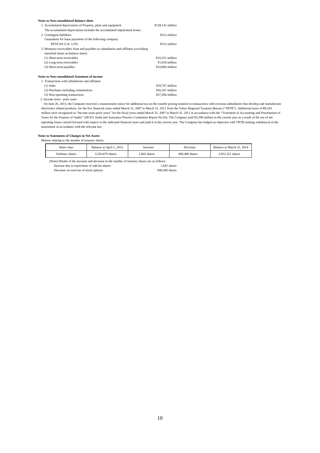| <b>Notes to Non-consolidated Balance sheet</b>                                      |                    |  |
|-------------------------------------------------------------------------------------|--------------------|--|
| 1. Accumulated depreciation of Property, plant and equipment                        | $¥128,141$ million |  |
| The accumulated depreciation includes the accumulated impairment losses.            |                    |  |
| 2. Contingent liabilities                                                           | ¥312 million       |  |
| Guarantees for lease payments of the following company                              |                    |  |
| PENTAX U.K. LTD.                                                                    | ¥312 million       |  |
| 3. Monetary receivables from and payables to subsidiaries and affiliates (excluding |                    |  |
| classified items on balance sheet)                                                  |                    |  |
| (1) Short-term receivables                                                          | $¥16,531$ million  |  |
| (2) Long-term receivables                                                           | $¥1,034$ million   |  |
| (3) Short-term payables                                                             | $¥10,060$ million  |  |
| Notes to Non-consolidated Statement of income                                       |                    |  |
| 1. Transactions with subsidiaries and affiliates                                    |                    |  |
| $(1)$ Sales                                                                         | ¥39,797 million    |  |
| (2) Purchases including commissions                                                 | $¥56,247$ million  |  |
| (3) Non-operating transactions                                                      | ¥37,096 million    |  |
|                                                                                     |                    |  |

2. Income taxes– prior years

 On June 26, 2013, the Company received a reassessment notice for additional tax on the transfer pricing taxation in transactions with overseas subsidiaries that develop and manufacture electronics related products, for the five financial years ended March 31, 2007 to March 31, 2011 from the Tokyo Regional Taxation Bureau ("TRTB"). Additional taxes of ¥8,419 million were recognized as "Income taxes-prior years" for the fiscal years ended March 31, 2007 to March 31, 2011 in accordance with the "Treatment of Accounting and Presentation of Taxes for the Purpose of Audits" (JICPA Audit and Assurance Practice Committee Report No.63). The Company paid ¥3,309 million in the current year as a result of the use of net operating losses carried forward with respect to the indicated financial years and paid it in the current year. The Company has lodged an objection with TRTB seeking withdrawal of the assessment in accordance with the relevant law.

## **Notes to Statements of Changes in Net Assets** Matters relating to the number of treasury shares

| Share class     | Balance at April 1, 2013 | Increase    | Decrease         | Balance at March 31, 2014 |
|-----------------|--------------------------|-------------|------------------|---------------------------|
| Ordinary shares | 3,520,879 shares         | .842 shares | $600.400$ shares | 2.922.321 shares          |

(Note) Details of the increase and decrease in the number of treasury shares are as follows:<br>Increase due to repurchase of odd-lot shares:<br>I.842 shares

Increase due to repurchase of odd-lot shares: 1,842 shares Decrease on exercise of stock options: 600,400 shares 600,400 shares Decrease on exercise of stock options: